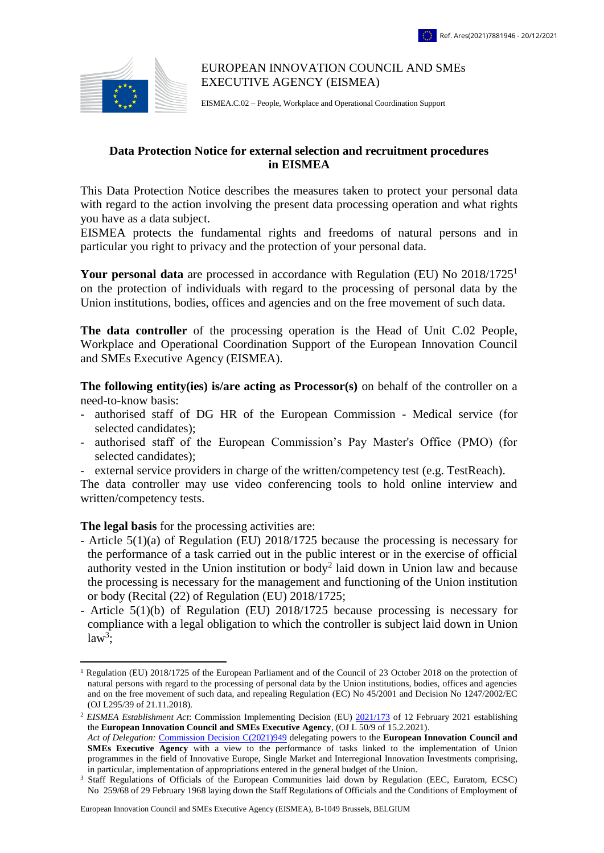

## EUROPEAN INNOVATION COUNCIL AND SMEs EXECUTIVE AGENCY (EISMEA)

EISMEA.C.02 – People, Workplace and Operational Coordination Support

## **Data Protection Notice for external selection and recruitment procedures in EISMEA**

This Data Protection Notice describes the measures taken to protect your personal data with regard to the action involving the present data processing operation and what rights you have as a data subject.

EISMEA protects the fundamental rights and freedoms of natural persons and in particular you right to privacy and the protection of your personal data.

**Your personal data** are processed in accordance with Regulation (EU) No 2018/1725<sup>1</sup> on the protection of individuals with regard to the processing of personal data by the Union institutions, bodies, offices and agencies and on the free movement of such data.

**The data controller** of the processing operation is the Head of Unit C.02 People, Workplace and Operational Coordination Support of the European Innovation Council and SMEs Executive Agency (EISMEA).

**The following entity(ies) is/are acting as Processor(s)** on behalf of the controller on a need-to-know basis:

- authorised staff of DG HR of the European Commission Medical service (for selected candidates);
- authorised staff of the European Commission's Pay Master's Office (PMO) (for selected candidates);
- external service providers in charge of the written/competency test (e.g. TestReach).

The data controller may use video conferencing tools to hold online interview and written/competency tests.

**The legal basis** for the processing activities are:

 $\overline{a}$ 

- *-* Article 5(1)(a) of Regulation (EU) 2018/1725 because the processing is necessary for the performance of a task carried out in the public interest or in the exercise of official authority vested in the Union institution or body<sup>2</sup> laid down in Union law and because the processing is necessary for the management and functioning of the Union institution or body (Recital (22) of Regulation (EU) 2018/1725;
- Article 5(1)(b) of Regulation (EU) 2018/1725 because processing is necessary for compliance with a legal obligation to which the controller is subject laid down in Union  $law<sup>3</sup>$ ;

<sup>&</sup>lt;sup>1</sup> Regulation (EU) 2018/1725 of the European Parliament and of the Council of 23 October 2018 on the protection of [natural persons with regard to the processing of personal data by the Union institutions, bodies, offices and agencies](https://eur-lex.europa.eu/legal-content/EN/TXT/?uri=uriserv:OJ.L_.2018.295.01.0039.01.ENG&toc=OJ:L:2018:295:TOC)  [and on the free movement of such data, and repealing Regulation \(EC\) No 45/2001 and Decision No 1247/2002/EC](https://eur-lex.europa.eu/legal-content/EN/TXT/?uri=uriserv:OJ.L_.2018.295.01.0039.01.ENG&toc=OJ:L:2018:295:TOC) (OJ L295/39 of 21.11.2018).

<sup>2</sup> *EISMEA Establishment Act*: Commission Implementing Decision (EU) [2021/173](https://eur-lex.europa.eu/legal-content/EN/TXT/PDF/?uri=CELEX:32021D0173&from=EN) of 12 February 2021 establishing the **European Innovation Council and SMEs Executive Agency**, (OJ L 50/9 of 15.2.2021). *Act of Delegation:* [Commission Decision C\(2021\)949](http://www.cc.cec/sg/vista/home?documentDetails&DocRef=C/2021/949&ComCat=SPINE) delegating powers to the **European Innovation Council and** 

**SMEs Executive Agency** with a view to the performance of tasks linked to the implementation of Union programmes in the field of Innovative Europe, Single Market and Interregional Innovation Investments comprising, in particular, implementation of appropriations entered in the general budget of the Union.

<sup>&</sup>lt;sup>3</sup> Staff Regulations of Officials of the European Communities laid down by Regulation (EEC, Euratom, ECSC) No 259/68 of 29 February 1968 laying down the Staff Regulations of Officials and the Conditions of Employment of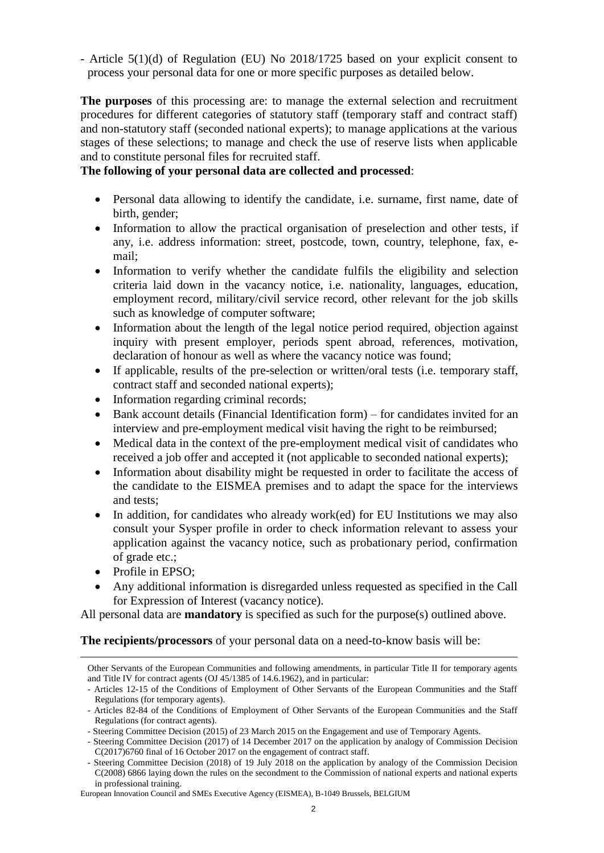- Article 5(1)(d) of Regulation (EU) No 2018/1725 based on your explicit consent to process your personal data for one or more specific purposes as detailed below.

**The purposes** of this processing are: to manage the external selection and recruitment procedures for different categories of statutory staff (temporary staff and contract staff) and non-statutory staff (seconded national experts); to manage applications at the various stages of these selections; to manage and check the use of reserve lists when applicable and to constitute personal files for recruited staff.

## **The following of your personal data are collected and processed**:

- Personal data allowing to identify the candidate, i.e. surname, first name, date of birth, gender;
- Information to allow the practical organisation of preselection and other tests, if any, i.e. address information: street, postcode, town, country, telephone, fax, email;
- Information to verify whether the candidate fulfils the eligibility and selection criteria laid down in the vacancy notice, i.e. nationality, languages, education, employment record, military/civil service record, other relevant for the job skills such as knowledge of computer software;
- Information about the length of the legal notice period required, objection against inquiry with present employer, periods spent abroad, references, motivation, declaration of honour as well as where the vacancy notice was found;
- If applicable, results of the pre-selection or written/oral tests (i.e. temporary staff, contract staff and seconded national experts);
- Information regarding criminal records;
- Bank account details (Financial Identification form) for candidates invited for an interview and pre-employment medical visit having the right to be reimbursed;
- Medical data in the context of the pre-employment medical visit of candidates who received a job offer and accepted it (not applicable to seconded national experts);
- Information about disability might be requested in order to facilitate the access of the candidate to the EISMEA premises and to adapt the space for the interviews and tests;
- In addition, for candidates who already work(ed) for EU Institutions we may also consult your Sysper profile in order to check information relevant to assess your application against the vacancy notice, such as probationary period, confirmation of grade etc.;
- Profile in EPSO:

 $\overline{a}$ 

 Any additional information is disregarded unless requested as specified in the Call for Expression of Interest (vacancy notice).

All personal data are **mandatory** is specified as such for the purpose(s) outlined above.

**The recipients/processors** of your personal data on a need-to-know basis will be:

Other Servants of the European Communities and following amendments, in particular Title II for temporary agents and Title IV for contract agents (OJ 45/1385 of 14.6.1962), and in particular:

<sup>-</sup> Articles 12-15 of the Conditions of Employment of Other Servants of the European Communities and the Staff Regulations (for temporary agents).

<sup>-</sup> Articles 82-84 of the Conditions of Employment of Other Servants of the European Communities and the Staff Regulations (for contract agents).

<sup>-</sup> Steering Committee Decision (2015) of 23 March 2015 on the Engagement and use of Temporary Agents.

<sup>-</sup> Steering Committee Decision (2017) of 14 December 2017 on the application by analogy of Commission Decision C(2017)6760 final of 16 October 2017 on the engagement of contract staff.

<sup>-</sup> Steering Committee Decision (2018) of 19 July 2018 on the application by analogy of the Commission Decision C(2008) 6866 laying down the rules on the secondment to the Commission of national experts and national experts in professional training.

European Innovation Council and SMEs Executive Agency (EISMEA), B-1049 Brussels, BELGIUM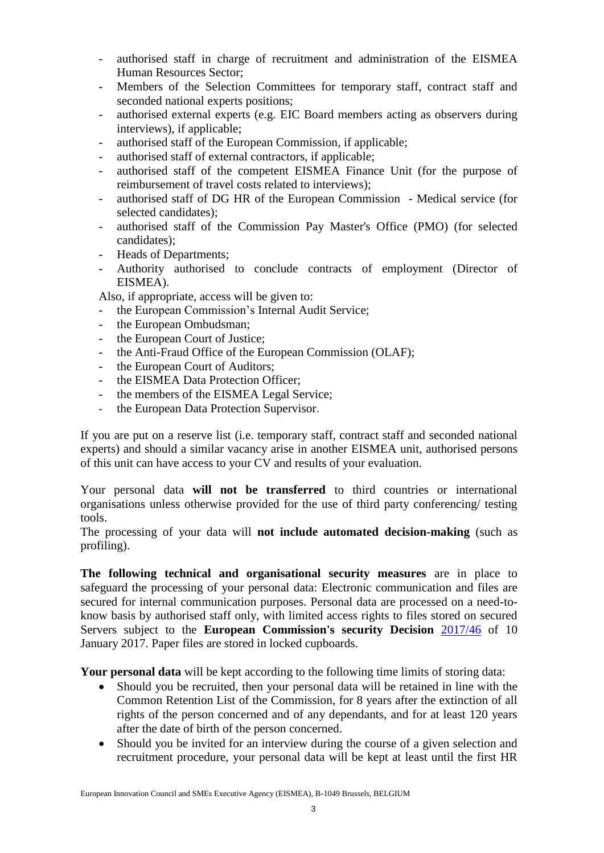- authorised staff in charge of recruitment and administration of the EISMEA Human Resources Sector;
- Members of the Selection Committees for temporary staff, contract staff and seconded national experts positions;
- authorised external experts (e.g. EIC Board members acting as observers during interviews), if applicable;
- authorised staff of the European Commission, if applicable;
- authorised staff of external contractors, if applicable;
- authorised staff of the competent EISMEA Finance Unit (for the purpose of reimbursement of travel costs related to interviews);
- authorised staff of DG HR of the European Commission Medical service (for selected candidates);
- authorised staff of the Commission Pay Master's Office (PMO) (for selected candidates);
- Heads of Departments:
- Authority authorised to conclude contracts of employment (Director of EISMEA).

Also, if appropriate, access will be given to:

- the European Commission's Internal Audit Service;
- the European Ombudsman;
- the European Court of Justice;
- the Anti-Fraud Office of the European Commission (OLAF);
- the European Court of Auditors;
- the EISMEA Data Protection Officer;
- the members of the EISMEA Legal Service;
- the European Data Protection Supervisor.

If you are put on a reserve list (i.e. temporary staff, contract staff and seconded national experts) and should a similar vacancy arise in another EISMEA unit, authorised persons of this unit can have access to your CV and results of your evaluation.

Your personal data **will not be transferred** to third countries or international organisations unless otherwise provided for the use of third party conferencing/ testing tools.

The processing of your data will **not include automated decision-making** (such as profiling).

**The following technical and organisational security measures** are in place to safeguard the processing of your personal data: Electronic communication and files are secured for internal communication purposes. Personal data are processed on a need-toknow basis by authorised staff only, with limited access rights to files stored on secured Servers subject to the **European Commission's security Decision** [2017/46](http://eur-lex.europa.eu/legal-content/EN/TXT/?qid=1484304449216&uri=CELEX:32017D0046) of 10 January 2017. Paper files are stored in locked cupboards.

**Your personal data** will be kept according to the following time limits of storing data:

- Should you be recruited, then your personal data will be retained in line with the Common Retention List of the Commission, for 8 years after the extinction of all rights of the person concerned and of any dependants, and for at least 120 years after the date of birth of the person concerned.
- Should you be invited for an interview during the course of a given selection and recruitment procedure, your personal data will be kept at least until the first HR